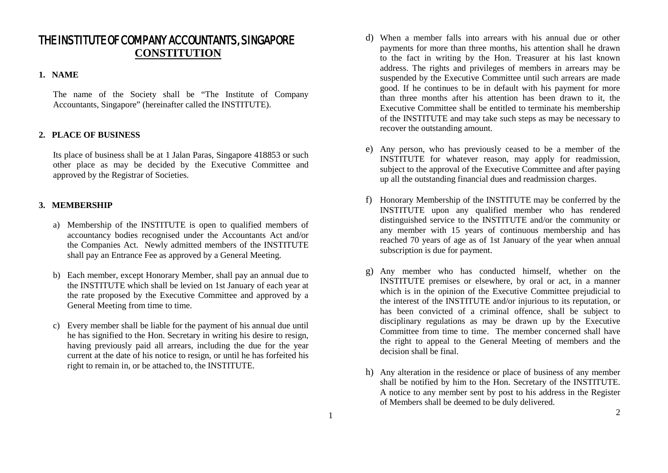# THE INSTITUTE OF COMPANY ACCOUNTANTS, SINGAPORE **CONSTITUTION**

#### **1. NAME**

The name of the Society shall be "The Institute of Company Accountants, Singapore" (hereinafter called the INSTITUTE).

# **2. PLACE OF BUSINESS**

Its place of business shall be at 1 Jalan Paras, Singapore 418853 or such other place as may be decided by the Executive Committee and approved by the Registrar of Societies.

# **3. MEMBERSHIP**

- a) Membership of the INSTITUTE is open to qualified members of accountancy bodies recognised under the Accountants Act and/or the Companies Act. Newly admitted members of the INSTITUTE shall pay an Entrance Fee as approved by a General Meeting.
- b) Each member, except Honorary Member, shall pay an annual due to the INSTITUTE which shall be levied on 1st January of each year at the rate proposed by the Executive Committee and approved by a General Meeting from time to time.
- c) Every member shall be liable for the payment of his annual due until he has signified to the Hon. Secretary in writing his desire to resign, having previously paid all arrears, including the due for the year current at the date of his notice to resign, or until he has forfeited his right to remain in, or be attached to, the INSTITUTE.
- d) When a member falls into arrears with his annual due or other payments for more than three months, his attention shall he drawn to the fact in writing by the Hon. Treasurer at his last known address. The rights and privileges of members in arrears may be suspended by the Executive Committee until such arrears are made good. If he continues to be in default with his payment for more than three months after his attention has been drawn to it, the Executive Committee shall be entitled to terminate his membership of the INSTITUTE and may take such steps as may be necessary to recover the outstanding amount.
- e) Any person, who has previously ceased to be a member of the INSTITUTE for whatever reason, may apply for readmission, subject to the approval of the Executive Committee and after paying up all the outstanding financial dues and readmission charges.
- f) Honorary Membership of the INSTITUTE may be conferred by the INSTITUTE upon any qualified member who has rendered distinguished service to the INSTITUTE and/or the community or any member with 15 years of continuous membership and has reached 70 years of age as of 1st January of the year when annual subscription is due for payment.
- g) Any member who has conducted himself, whether on the INSTITUTE premises or elsewhere, by oral or act, in a manner which is in the opinion of the Executive Committee prejudicial to the interest of the INSTITUTE and/or injurious to its reputation, or has been convicted of a criminal offence, shall be subject to disciplinary regulations as may be drawn up by the Executive Committee from time to time. The member concerned shall have the right to appeal to the General Meeting of members and the decision shall be final.
- h) Any alteration in the residence or place of business of any member shall be notified by him to the Hon. Secretary of the INSTITUTE. A notice to any member sent by post to his address in the Register of Members shall be deemed to be duly delivered.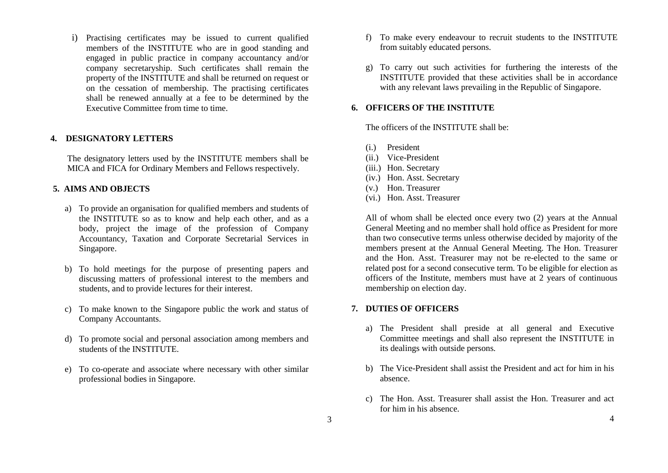i) Practising certificates may be issued to current qualified members of the INSTITUTE who are in good standing and engaged in public practice in company accountancy and/or company secretaryship. Such certificates shall remain the property of the INSTITUTE and shall be returned on request or on the cessation of membership. The practising certificates shall be renewed annually at a fee to be determined by the Executive Committee from time to time.

## **4. DESIGNATORY LETTERS**

The designatory letters used by the INSTITUTE members shall be MICA and FICA for Ordinary Members and Fellows respectively.

## **5. AIMS AND OBJECTS**

- a) To provide an organisation for qualified members and students of the INSTITUTE so as to know and help each other, and as a body, project the image of the profession of Company Accountancy, Taxation and Corporate Secretarial Services in Singapore.
- b) To hold meetings for the purpose of presenting papers and discussing matters of professional interest to the members and students, and to provide lectures for their interest.
- c) To make known to the Singapore public the work and status of Company Accountants.
- d) To promote social and personal association among members and students of the INSTITUTE.
- e) To co-operate and associate where necessary with other similar professional bodies in Singapore.
- f) To make every endeavour to recruit students to the INSTITUTE from suitably educated persons.
- g) To carry out such activities for furthering the interests of the INSTITUTE provided that these activities shall be in accordance with any relevant laws prevailing in the Republic of Singapore.

#### **6. OFFICERS OF THE INSTITUTE**

The officers of the INSTITUTE shall be:

- (i.) President
- (ii.) Vice-President
- (iii.) Hon. Secretary
- (iv.) Hon. Asst. Secretary
- (v.) Hon. Treasurer
- (vi.) Hon. Asst. Treasurer

All of whom shall be elected once every two (2) years at the Annual General Meeting and no member shall hold office as President for more than two consecutive terms unless otherwise decided by majority of the members present at the Annual General Meeting. The Hon. Treasurer and the Hon. Asst. Treasurer may not be re-elected to the same or related post for a second consecutive term. To be eligible for election as officers of the Institute, members must have at 2 years of continuous membership on election day.

#### **7. DUTIES OF OFFICERS**

- a) The President shall preside at all general and Executive Committee meetings and shall also represent the INSTITUTE in its dealings with outside persons.
- b) The Vice-President shall assist the President and act for him in his absence.
- c) The Hon. Asst. Treasurer shall assist the Hon. Treasurer and act for him in his absence.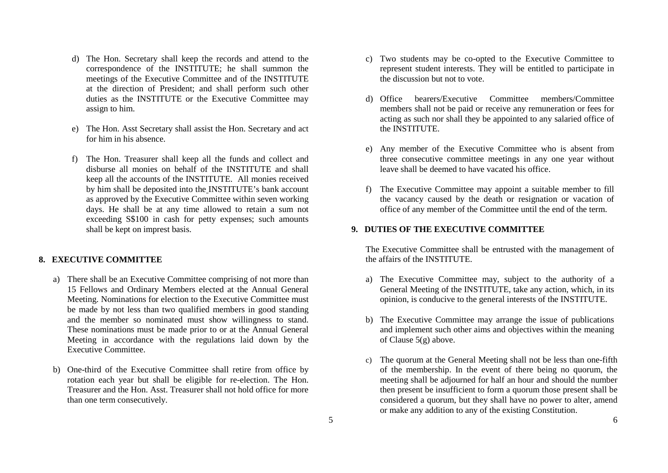- d) The Hon. Secretary shall keep the records and attend to the correspondence of the INSTITUTE; he shall summon the meetings of the Executive Committee and of the INSTITUTE at the direction of President; and shall perform such other duties as the INSTITUTE or the Executive Committee may assign to him.
- e) The Hon. Asst Secretary shall assist the Hon. Secretary and act for him in his absence.
- f) The Hon. Treasurer shall keep all the funds and collect and disburse all monies on behalf of the INSTITUTE and shall keep all the accounts of the INSTITUTE. All monies received by him shall be deposited into the INSTITUTE's bank account as approved by the Executive Committee within seven working days. He shall be at any time allowed to retain a sum not exceeding S\$100 in cash for petty expenses; such amounts shall be kept on imprest basis.

#### **8. EXECUTIVE COMMITTEE**

- a) There shall be an Executive Committee comprising of not more than 15 Fellows and Ordinary Members elected at the Annual General Meeting. Nominations for election to the Executive Committee must be made by not less than two qualified members in good standing and the member so nominated must show willingness to stand. These nominations must be made prior to or at the Annual General Meeting in accordance with the regulations laid down by the Executive Committee.
- b) One-third of the Executive Committee shall retire from office by rotation each year but shall be eligible for re-election. The Hon. Treasurer and the Hon. Asst. Treasurer shall not hold office for more than one term consecutively.
- c) Two students may be co-opted to the Executive Committee to represent student interests. They will be entitled to participate in the discussion but not to vote.
- d) Office bearers/Executive Committee members/Committee members shall not be paid or receive any remuneration or fees for acting as such nor shall they be appointed to any salaried office of the INSTITUTE.
- e) Any member of the Executive Committee who is absent from three consecutive committee meetings in any one year without leave shall be deemed to have vacated his office.
- f) The Executive Committee may appoint a suitable member to fill the vacancy caused by the death or resignation or vacation of office of any member of the Committee until the end of the term.

## **9. DUTIES OF THE EXECUTIVE COMMITTEE**

The Executive Committee shall be entrusted with the management of the affairs of the INSTITUTE.

- a) The Executive Committee may, subject to the authority of a General Meeting of the INSTITUTE, take any action, which, in its opinion, is conducive to the general interests of the INSTITUTE.
- b) The Executive Committee may arrange the issue of publications and implement such other aims and objectives within the meaning of Clause 5(g) above.
- c) The quorum at the General Meeting shall not be less than one-fifth of the membership. In the event of there being no quorum, the meeting shall be adjourned for half an hour and should the number then present be insufficient to form a quorum those present shall be considered a quorum, but they shall have no power to alter, amend or make any addition to any of the existing Constitution.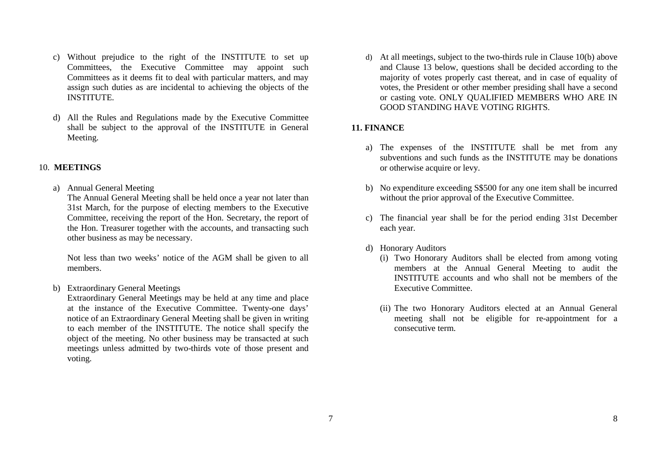- c) Without prejudice to the right of the INSTITUTE to set up Committees, the Executive Committee may appoint such Committees as it deems fit to deal with particular matters, and may assign such duties as are incidental to achieving the objects of the INSTITUTE.
- d) All the Rules and Regulations made by the Executive Committee shall be subject to the approval of the INSTITUTE in General Meeting.

#### 10. **MEETINGS**

a) Annual General Meeting

The Annual General Meeting shall be held once a year not later than 31st March, for the purpose of electing members to the Executive Committee, receiving the report of the Hon. Secretary, the report of the Hon. Treasurer together with the accounts, and transacting such other business as may be necessary.

Not less than two weeks' notice of the AGM shall be given to all members.

b) Extraordinary General Meetings

Extraordinary General Meetings may be held at any time and place at the instance of the Executive Committee. Twenty-one days' notice of an Extraordinary General Meeting shall be given in writing to each member of the INSTITUTE. The notice shall specify the object of the meeting. No other business may be transacted at such meetings unless admitted by two-thirds vote of those present and voting.

d) At all meetings, subject to the two-thirds rule in Clause 10(b) above and Clause 13 below, questions shall be decided according to the majority of votes properly cast thereat, and in case of equality of votes, the President or other member presiding shall have a second or casting vote. ONLY QUALIFIED MEMBERS WHO ARE IN GOOD STANDING HAVE VOTING RIGHTS.

#### **11. FINANCE**

- a) The expenses of the INSTITUTE shall be met from any subventions and such funds as the INSTITUTE may be donations or otherwise acquire or levy.
- b) No expenditure exceeding S\$500 for any one item shall be incurred without the prior approval of the Executive Committee.
- c) The financial year shall be for the period ending 31st December each year.
- d) Honorary Auditors
	- (i) Two Honorary Auditors shall be elected from among voting members at the Annual General Meeting to audit the INSTITUTE accounts and who shall not be members of the Executive Committee.
	- (ii) The two Honorary Auditors elected at an Annual General meeting shall not be eligible for re-appointment for a consecutive term.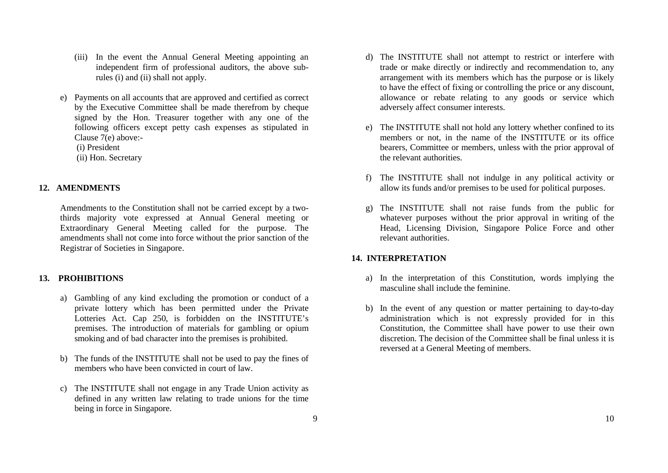- (iii) In the event the Annual General Meeting appointing an independent firm of professional auditors, the above subrules (i) and (ii) shall not apply.
- e) Payments on all accounts that are approved and certified as correct by the Executive Committee shall be made therefrom by cheque signed by the Hon. Treasurer together with any one of the following officers except petty cash expenses as stipulated in Clause 7(e) above:-

(i) President

(ii) Hon. Secretary

## **12. AMENDMENTS**

Amendments to the Constitution shall not be carried except by a twothirds majority vote expressed at Annual General meeting or Extraordinary General Meeting called for the purpose. The amendments shall not come into force without the prior sanction of the Registrar of Societies in Singapore.

# **13. PROHIBITIONS**

- a) Gambling of any kind excluding the promotion or conduct of a private lottery which has been permitted under the Private Lotteries Act. Cap 250, is forbidden on the INSTITUTE's premises. The introduction of materials for gambling or opium smoking and of bad character into the premises is prohibited.
- b) The funds of the INSTITUTE shall not be used to pay the fines of members who have been convicted in court of law.
- c) The INSTITUTE shall not engage in any Trade Union activity as defined in any written law relating to trade unions for the time being in force in Singapore.
- d) The INSTITUTE shall not attempt to restrict or interfere with trade or make directly or indirectly and recommendation to, any arrangement with its members which has the purpose or is likely to have the effect of fixing or controlling the price or any discount, allowance or rebate relating to any goods or service which adversely affect consumer interests.
- e) The INSTITUTE shall not hold any lottery whether confined to its members or not, in the name of the INSTITUTE or its office bearers, Committee or members, unless with the prior approval of the relevant authorities.
- f) The INSTITUTE shall not indulge in any political activity or allow its funds and/or premises to be used for political purposes.
- g) The INSTITUTE shall not raise funds from the public for whatever purposes without the prior approval in writing of the Head, Licensing Division, Singapore Police Force and other relevant authorities.

# **14. INTERPRETATION**

- a) In the interpretation of this Constitution, words implying the masculine shall include the feminine.
- b) In the event of any question or matter pertaining to day-to-day administration which is not expressly provided for in this Constitution, the Committee shall have power to use their own discretion. The decision of the Committee shall be final unless it is reversed at a General Meeting of members.